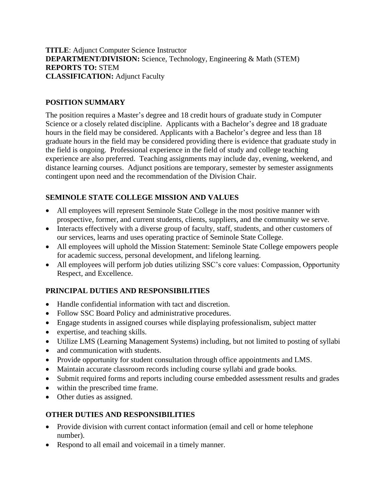**TITLE**: Adjunct Computer Science Instructor **DEPARTMENT/DIVISION:** Science, Technology, Engineering & Math (STEM) **REPORTS TO:** STEM **CLASSIFICATION:** Adjunct Faculty

#### **POSITION SUMMARY**

The position requires a Master's degree and 18 credit hours of graduate study in Computer Science or a closely related discipline. Applicants with a Bachelor's degree and 18 graduate hours in the field may be considered. Applicants with a Bachelor's degree and less than 18 graduate hours in the field may be considered providing there is evidence that graduate study in the field is ongoing. Professional experience in the field of study and college teaching experience are also preferred. Teaching assignments may include day, evening, weekend, and distance learning courses. Adjunct positions are temporary, semester by semester assignments contingent upon need and the recommendation of the Division Chair.

### **SEMINOLE STATE COLLEGE MISSION AND VALUES**

- All employees will represent Seminole State College in the most positive manner with prospective, former, and current students, clients, suppliers, and the community we serve.
- Interacts effectively with a diverse group of faculty, staff, students, and other customers of our services, learns and uses operating practice of Seminole State College.
- All employees will uphold the Mission Statement: Seminole State College empowers people for academic success, personal development, and lifelong learning.
- All employees will perform job duties utilizing SSC's core values: Compassion, Opportunity Respect, and Excellence.

# **PRINCIPAL DUTIES AND RESPONSIBILITIES**

- Handle confidential information with tact and discretion.
- Follow SSC Board Policy and administrative procedures.
- Engage students in assigned courses while displaying professionalism, subject matter
- expertise, and teaching skills.
- Utilize LMS (Learning Management Systems) including, but not limited to posting of syllabi
- and communication with students.
- Provide opportunity for student consultation through office appointments and LMS.
- Maintain accurate classroom records including course syllabi and grade books.
- Submit required forms and reports including course embedded assessment results and grades
- within the prescribed time frame.
- Other duties as assigned.

# **OTHER DUTIES AND RESPONSIBILITIES**

- Provide division with current contact information (email and cell or home telephone number).
- Respond to all email and voicemail in a timely manner.